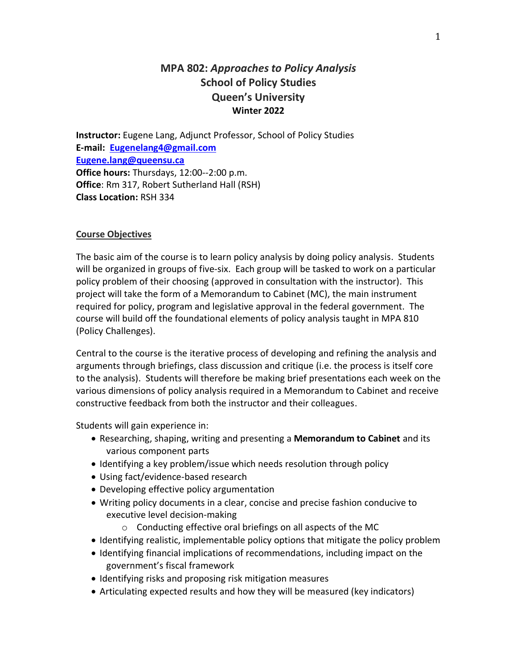# **MPA 802:** *Approaches to Policy Analysis* **School of Policy Studies Queen's University Winter 2022**

**Instructor:** Eugene Lang, Adjunct Professor, School of Policy Studies **E-mail: [Eugenelang4@gmail.com](mailto:Eugenelang4@gmail.com) Eugene.lang@queensu.ca Office hours:** Thursdays, 12:00--2:00 p.m. **Office**: Rm 317, Robert Sutherland Hall (RSH) **Class Location:** RSH 334

# **Course Objectives**

The basic aim of the course is to learn policy analysis by doing policy analysis. Students will be organized in groups of five-six. Each group will be tasked to work on a particular policy problem of their choosing (approved in consultation with the instructor). This project will take the form of a Memorandum to Cabinet (MC), the main instrument required for policy, program and legislative approval in the federal government. The course will build off the foundational elements of policy analysis taught in MPA 810 (Policy Challenges).

Central to the course is the iterative process of developing and refining the analysis and arguments through briefings, class discussion and critique (i.e. the process is itself core to the analysis). Students will therefore be making brief presentations each week on the various dimensions of policy analysis required in a Memorandum to Cabinet and receive constructive feedback from both the instructor and their colleagues.

Students will gain experience in:

- Researching, shaping, writing and presenting a **Memorandum to Cabinet** and its various component parts
- Identifying a key problem/issue which needs resolution through policy
- Using fact/evidence-based research
- Developing effective policy argumentation
- Writing policy documents in a clear, concise and precise fashion conducive to executive level decision-making
	- o Conducting effective oral briefings on all aspects of the MC
- Identifying realistic, implementable policy options that mitigate the policy problem
- Identifying financial implications of recommendations, including impact on the government's fiscal framework
- Identifying risks and proposing risk mitigation measures
- Articulating expected results and how they will be measured (key indicators)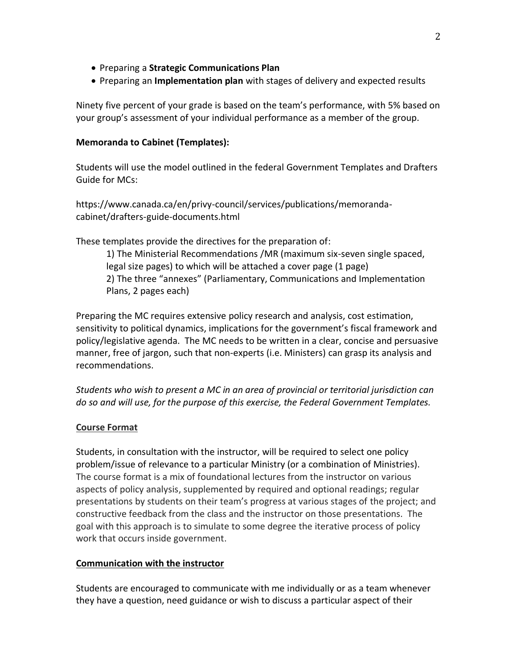- Preparing a **Strategic Communications Plan**
- Preparing an **Implementation plan** with stages of delivery and expected results

Ninety five percent of your grade is based on the team's performance, with 5% based on your group's assessment of your individual performance as a member of the group.

#### **Memoranda to Cabinet (Templates):**

Students will use the model outlined in the federal Government Templates and Drafters Guide for MCs:

https://www.canada.ca/en/privy-council/services/publications/memorandacabinet/drafters-guide-documents.html

These templates provide the directives for the preparation of:

1) The Ministerial Recommendations /MR (maximum six-seven single spaced, legal size pages) to which will be attached a cover page (1 page) 2) The three "annexes" (Parliamentary, Communications and Implementation Plans, 2 pages each)

Preparing the MC requires extensive policy research and analysis, cost estimation, sensitivity to political dynamics, implications for the government's fiscal framework and policy/legislative agenda. The MC needs to be written in a clear, concise and persuasive manner, free of jargon, such that non-experts (i.e. Ministers) can grasp its analysis and recommendations.

*Students who wish to present a MC in an area of provincial or territorial jurisdiction can do so and will use, for the purpose of this exercise, the Federal Government Templates.*

# **Course Format**

Students, in consultation with the instructor, will be required to select one policy problem/issue of relevance to a particular Ministry (or a combination of Ministries). The course format is a mix of foundational lectures from the instructor on various aspects of policy analysis, supplemented by required and optional readings; regular presentations by students on their team's progress at various stages of the project; and constructive feedback from the class and the instructor on those presentations. The goal with this approach is to simulate to some degree the iterative process of policy work that occurs inside government.

#### **Communication with the instructor**

Students are encouraged to communicate with me individually or as a team whenever they have a question, need guidance or wish to discuss a particular aspect of their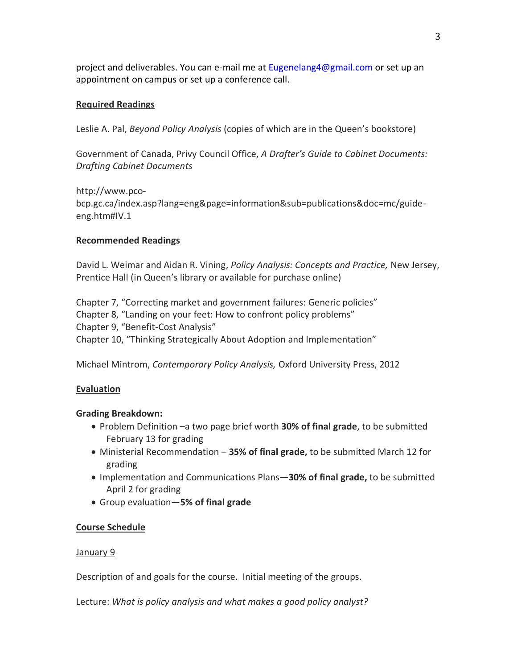project and deliverables. You can e-mail me at [Eugenelang4@gmail.com](mailto:Eugenelang4@gmail.com) or set up an appointment on campus or set up a conference call.

### **Required Readings**

Leslie A. Pal, *Beyond Policy Analysis* (copies of which are in the Queen's bookstore)

Government of Canada, Privy Council Office, *A Drafter's Guide to Cabinet Documents: Drafting Cabinet Documents*

http://www.pcobcp.gc.ca/index.asp?lang=eng&page=information&sub=publications&doc=mc/guideeng.htm#IV.1

### **Recommended Readings**

David L. Weimar and Aidan R. Vining, *Policy Analysis: Concepts and Practice,* New Jersey, Prentice Hall (in Queen's library or available for purchase online)

Chapter 7, "Correcting market and government failures: Generic policies" Chapter 8, "Landing on your feet: How to confront policy problems" Chapter 9, "Benefit-Cost Analysis" Chapter 10, "Thinking Strategically About Adoption and Implementation"

Michael Mintrom, *Contemporary Policy Analysis,* Oxford University Press, 2012

#### **Evaluation**

# **Grading Breakdown:**

- Problem Definition –a two page brief worth **30% of final grade**, to be submitted February 13 for grading
- Ministerial Recommendation **35% of final grade,** to be submitted March 12 for grading
- Implementation and Communications Plans—**30% of final grade,** to be submitted April 2 for grading
- Group evaluation—**5% of final grade**

# **Course Schedule**

# January 9

Description of and goals for the course. Initial meeting of the groups.

Lecture: *What is policy analysis and what makes a good policy analyst?*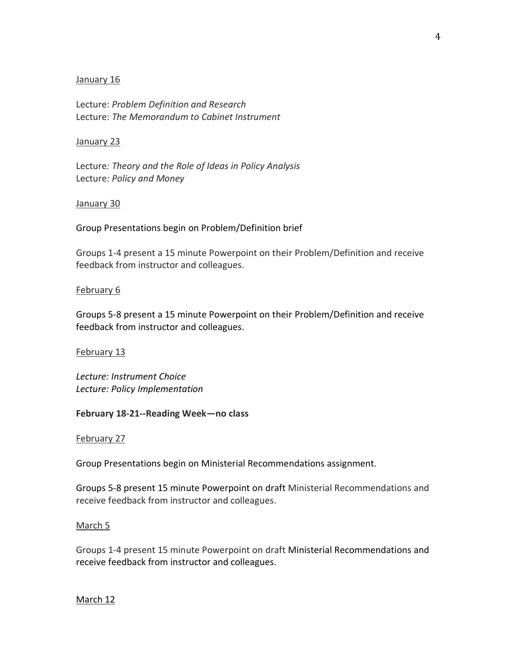#### January 16

Lecture: *Problem Definition and Research*  Lecture: *The Memorandum to Cabinet Instrument*

#### January 23

Lecture*: Theory and the Role of Ideas in Policy Analysis* Lecture*: Policy and Money*

#### January 30

Group Presentations begin on Problem/Definition brief

Groups 1-4 present a 15 minute Powerpoint on their Problem/Definition and receive feedback from instructor and colleagues.

### February 6

Groups 5-8 present a 15 minute Powerpoint on their Problem/Definition and receive feedback from instructor and colleagues.

February 13

*Lecture: Instrument Choice Lecture: Policy Implementation*

# **February 18-21--Reading Week—no class**

February 27

Group Presentations begin on Ministerial Recommendations assignment.

Groups 5-8 present 15 minute Powerpoint on draft Ministerial Recommendations and receive feedback from instructor and colleagues.

#### March 5

Groups 1-4 present 15 minute Powerpoint on draft Ministerial Recommendations and receive feedback from instructor and colleagues.

# March 12